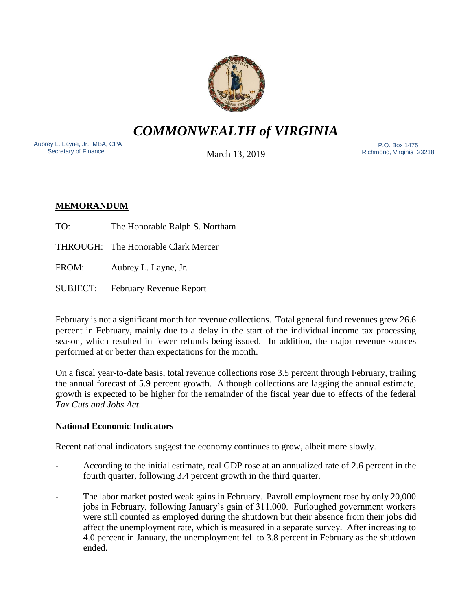

*COMMONWEALTH of VIRGINIA*

Aubrey L. Layne, Jr., MBA, CPA Secretary of Finance

March 13, 2019

 P.O. Box 1475 Richmond, Virginia 23218

# **MEMORANDUM**

TO: The Honorable Ralph S. Northam

THROUGH: The Honorable Clark Mercer

FROM: Aubrey L. Layne, Jr.

SUBJECT: February Revenue Report

February is not a significant month for revenue collections. Total general fund revenues grew 26.6 percent in February, mainly due to a delay in the start of the individual income tax processing season, which resulted in fewer refunds being issued. In addition, the major revenue sources performed at or better than expectations for the month.

On a fiscal year-to-date basis, total revenue collections rose 3.5 percent through February, trailing the annual forecast of 5.9 percent growth. Although collections are lagging the annual estimate, growth is expected to be higher for the remainder of the fiscal year due to effects of the federal *Tax Cuts and Jobs Act*.

## **National Economic Indicators**

Recent national indicators suggest the economy continues to grow, albeit more slowly.

- According to the initial estimate, real GDP rose at an annualized rate of 2.6 percent in the fourth quarter, following 3.4 percent growth in the third quarter.
- The labor market posted weak gains in February. Payroll employment rose by only 20,000 jobs in February, following January's gain of 311,000. Furloughed government workers were still counted as employed during the shutdown but their absence from their jobs did affect the unemployment rate, which is measured in a separate survey. After increasing to 4.0 percent in January, the unemployment fell to 3.8 percent in February as the shutdown ended.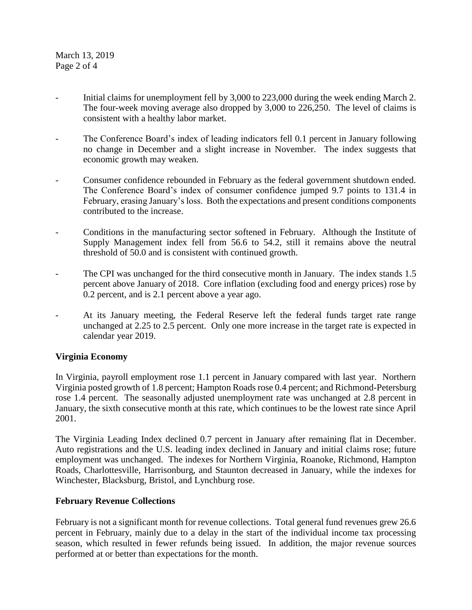March 13, 2019 Page 2 of 4

- Initial claims for unemployment fell by 3,000 to 223,000 during the week ending March 2. The four-week moving average also dropped by 3,000 to 226,250. The level of claims is consistent with a healthy labor market.
- The Conference Board's index of leading indicators fell 0.1 percent in January following no change in December and a slight increase in November. The index suggests that economic growth may weaken.
- Consumer confidence rebounded in February as the federal government shutdown ended. The Conference Board's index of consumer confidence jumped 9.7 points to 131.4 in February, erasing January's loss. Both the expectations and present conditions components contributed to the increase.
- Conditions in the manufacturing sector softened in February. Although the Institute of Supply Management index fell from 56.6 to 54.2, still it remains above the neutral threshold of 50.0 and is consistent with continued growth.
- The CPI was unchanged for the third consecutive month in January. The index stands 1.5 percent above January of 2018. Core inflation (excluding food and energy prices) rose by 0.2 percent, and is 2.1 percent above a year ago.
- At its January meeting, the Federal Reserve left the federal funds target rate range unchanged at 2.25 to 2.5 percent. Only one more increase in the target rate is expected in calendar year 2019.

### **Virginia Economy**

In Virginia, payroll employment rose 1.1 percent in January compared with last year. Northern Virginia posted growth of 1.8 percent; Hampton Roads rose 0.4 percent; and Richmond-Petersburg rose 1.4 percent. The seasonally adjusted unemployment rate was unchanged at 2.8 percent in January, the sixth consecutive month at this rate, which continues to be the lowest rate since April 2001.

The Virginia Leading Index declined 0.7 percent in January after remaining flat in December. Auto registrations and the U.S. leading index declined in January and initial claims rose; future employment was unchanged. The indexes for Northern Virginia, Roanoke, Richmond, Hampton Roads, Charlottesville, Harrisonburg, and Staunton decreased in January, while the indexes for Winchester, Blacksburg, Bristol, and Lynchburg rose.

### **February Revenue Collections**

February is not a significant month for revenue collections. Total general fund revenues grew 26.6 percent in February, mainly due to a delay in the start of the individual income tax processing season, which resulted in fewer refunds being issued. In addition, the major revenue sources performed at or better than expectations for the month.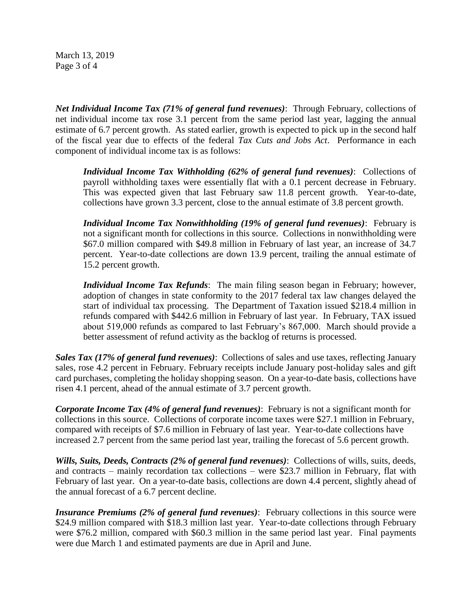March 13, 2019 Page 3 of 4

*Net Individual Income Tax (71% of general fund revenues)*: Through February, collections of net individual income tax rose 3.1 percent from the same period last year, lagging the annual estimate of 6.7 percent growth. As stated earlier, growth is expected to pick up in the second half of the fiscal year due to effects of the federal *Tax Cuts and Jobs Act*. Performance in each component of individual income tax is as follows:

*Individual Income Tax Withholding (62% of general fund revenues)*: Collections of payroll withholding taxes were essentially flat with a 0.1 percent decrease in February. This was expected given that last February saw 11.8 percent growth. Year-to-date, collections have grown 3.3 percent, close to the annual estimate of 3.8 percent growth.

*Individual Income Tax Nonwithholding (19% of general fund revenues)*: February is not a significant month for collections in this source. Collections in nonwithholding were \$67.0 million compared with \$49.8 million in February of last year, an increase of 34.7 percent. Year-to-date collections are down 13.9 percent, trailing the annual estimate of 15.2 percent growth.

*Individual Income Tax Refunds*: The main filing season began in February; however, adoption of changes in state conformity to the 2017 federal tax law changes delayed the start of individual tax processing. The Department of Taxation issued \$218.4 million in refunds compared with \$442.6 million in February of last year. In February, TAX issued about 519,000 refunds as compared to last February's 867,000. March should provide a better assessment of refund activity as the backlog of returns is processed.

*Sales Tax (17% of general fund revenues)*: Collections of sales and use taxes, reflecting January sales, rose 4.2 percent in February. February receipts include January post-holiday sales and gift card purchases, completing the holiday shopping season. On a year-to-date basis, collections have risen 4.1 percent, ahead of the annual estimate of 3.7 percent growth.

*Corporate Income Tax (4% of general fund revenues)*: February is not a significant month for collections in this source. Collections of corporate income taxes were \$27.1 million in February, compared with receipts of \$7.6 million in February of last year. Year-to-date collections have increased 2.7 percent from the same period last year, trailing the forecast of 5.6 percent growth.

*Wills, Suits, Deeds, Contracts (2% of general fund revenues)*: Collections of wills, suits, deeds, and contracts – mainly recordation tax collections – were \$23.7 million in February, flat with February of last year. On a year-to-date basis, collections are down 4.4 percent, slightly ahead of the annual forecast of a 6.7 percent decline.

*Insurance Premiums (2% of general fund revenues)*: February collections in this source were \$24.9 million compared with \$18.3 million last year. Year-to-date collections through February were \$76.2 million, compared with \$60.3 million in the same period last year. Final payments were due March 1 and estimated payments are due in April and June.